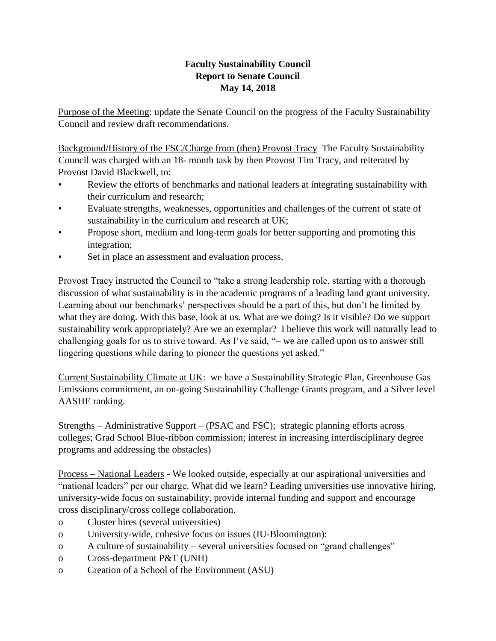## **Faculty Sustainability Council Report to Senate Council May 14, 2018**

Purpose of the Meeting: update the Senate Council on the progress of the Faculty Sustainability Council and review draft recommendations.

Background/History of the FSC/Charge from (then) Provost Tracy The Faculty Sustainability Council was charged with an 18- month task by then Provost Tim Tracy, and reiterated by Provost David Blackwell, to:

- Review the efforts of benchmarks and national leaders at integrating sustainability with their curriculum and research;
- Evaluate strengths, weaknesses, opportunities and challenges of the current of state of sustainability in the curriculum and research at UK;
- Propose short, medium and long-term goals for better supporting and promoting this integration;
- Set in place an assessment and evaluation process.

Provost Tracy instructed the Council to "take a strong leadership role, starting with a thorough discussion of what sustainability is in the academic programs of a leading land grant university. Learning about our benchmarks' perspectives should be a part of this, but don't be limited by what they are doing. With this base, look at us. What are we doing? Is it visible? Do we support sustainability work appropriately? Are we an exemplar? I believe this work will naturally lead to challenging goals for us to strive toward. As I've said, "– we are called upon us to answer still lingering questions while daring to pioneer the questions yet asked."

Current Sustainability Climate at UK: we have a Sustainability Strategic Plan, Greenhouse Gas Emissions commitment, an on-going Sustainability Challenge Grants program, and a Silver level AASHE ranking.

Strengths – Administrative Support – (PSAC and FSC); strategic planning efforts across colleges; Grad School Blue-ribbon commission; interest in increasing interdisciplinary degree programs and addressing the obstacles)

Process – National Leaders - We looked outside, especially at our aspirational universities and "national leaders" per our charge. What did we learn? Leading universities use innovative hiring, university-wide focus on sustainability, provide internal funding and support and encourage cross disciplinary/cross college collaboration.

- o Cluster hires (several universities)
- o University-wide, cohesive focus on issues (IU-Bloomington):
- o A culture of sustainability several universities focused on "grand challenges"
- o Cross-department P&T (UNH)
- o Creation of a School of the Environment (ASU)